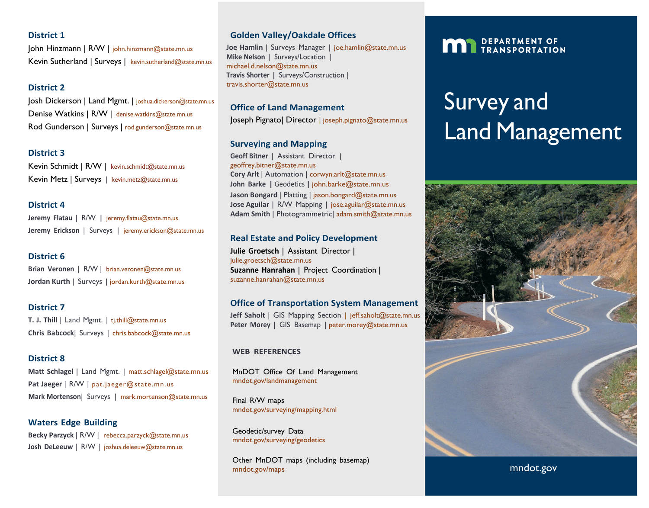#### **District 1**

John Hinzmann | R/W | [john.hinzmann@state.mn.us](mailto:john.hinzmann@state.mn.us) Kevin Sutherland | Surveys | [kevin.sutherland@state.mn.us](mailto:kevin.sutherland@state.mn.us)

# **District 2**

Josh Dickerson | Land Mgmt. | [joshua.dickerson@state.mn.us](mailto:joshua.dickerson@state.mn.us) Denise Watkins | R/W | [denise.watkins@state.mn.us](mailto:denise.watkins@state.mn.us) Rod Gunderson | Surveys | [rod.gunderson@state.mn.us](mailto:rod.gunderson@state.mn.us)

### **District 3**

Kevin Schmidt | R/W | [kevin.schmidt@state.mn.us](mailto:kevin.schmidt@state.mn.us) Kevin Metz | Surveys | [kevin.metz@state.mn.us](mailto:kevin.metz@state.mn.us)

### **District 4**

**Jeremy Flatau** | R/W **|** [jeremy.flatau@state.mn.us](mailto:jeremy.flatau@state.mn.us) **Jeremy Erickson** | Surveys | [jeremy.erickson@state.mn.us](mailto:jeremy.erickson@state.mn.us)

### **District 6**

**Brian Veronen** | R/W | [brian.veronen@state.mn.us](mailto:brian.veronen@state.mn.us) Jordan Kurth | Surveys | jordan.kurth@state.mn.us

### **District 7**

**T. J. Thill** | Land Mgmt. | [tj.thill@state.mn.us](mailto:tj.thill@state.mn.us) **Chris Babcock**| Surveys | [chris.babcock@state.mn.us](mailto:chris.babcock@state.mn.us)

#### **District 8**

**Matt Schlagel** | Land Mgmt. | [matt.schlagel@state.mn.us](mailto:matt.schlagel@state.mn.us) Pat Jaeger | R/W | pat.jaeger@state.mn.us **Mark Mortenson**| Surveys | [mark.mortenson@state.mn.us](mailto:mark.mortenson@state.mn.us)

**Waters Edge Building Becky Parzyck** | R/W | [rebecca.parzyck@state.mn.us](mailto:rebecca.parzyck@state.mn.us) **Josh DeLeeuw** | R/W | [joshua.deleeuw@state.mn.us](mailto:joshua.deleeuw@state.mn.us)

## **Golden Valley/Oakdale Offices**

**Joe Hamlin** | Surveys Manager | [joe.hamlin@state.mn.us](mailto:joe.hamlin@state.mn.us) **Mike Nelson** | Surveys/Location | [michael.d.nelson@state.mn.us](mailto:michael.d.nelson@state.mn.us) **Travis Shorter** | Surveys/Construction | [travis.shorter@state.mn.us](mailto:travis.shorter@state.mn.us)

## **Office of Land Management**

Joseph Pignato| Director | joseph.pignato@state.mn.us

### **Surveying and Mapping**

**Geoff Bitner** | Assistant Director | [geoffrey.bitner@state.mn.us](mailto:geoffrey.bitner@state.mn.us) **Cory Arlt** | Automation | [corwyn.arlt@state.mn.us](mailto:corwyn.arlt@state.mn.us) **John Barke |** Geodetics **|** [john.barke@state.mn.us](mailto:john.barke@state.mn.us) Jason Bongard | Platting | [jason.bongard@state.mn.us](mailto:jason.bongard@state.mn.us) **Jose Aguilar** | R/W Mapping | [jose.aguilar@state.mn.us](mailto:jay.krafthefer@state.mn.us) **Adam Smith** | Photogrammetric| [adam.smith@state.mn.us](mailto:adam.smith@state.mn.us)

# **Real Estate and Policy Development**

**Julie Groetsch** | Assistant Director | [julie.groetsch@state.mn.us](mailto:julie.groetsch@state.mn.us) **Suzanne Hanrahan** | Project Coordination | [suzanne.hanrahan@state.mn.us](mailto:suzanne.hanrahan@state.mn.us)

# **Office of Transportation System Management**

**Jeff Saholt** | GIS Mapping Section | [jeff.saholt@state.mn.us](mailto:jeff.saholt@state.mn.us) **Peter Morey** | GIS Basemap | [peter.morey@state.mn.us](mailto:peter.morey@state.mn.us)

#### **WEB REFERENCES**

MnDOT Office Of Land Management mndot.gov/landmanagement

Final R/W maps mndot.gov/surveying/mapping.html

Geodetic/survey Data mndot.gov/surveying/geodetics

Other MnDOT maps (including basemap) mndot.gov/maps

# **MAN** DEPARTMENT OF

# Survey and Land Management



mndot.gov